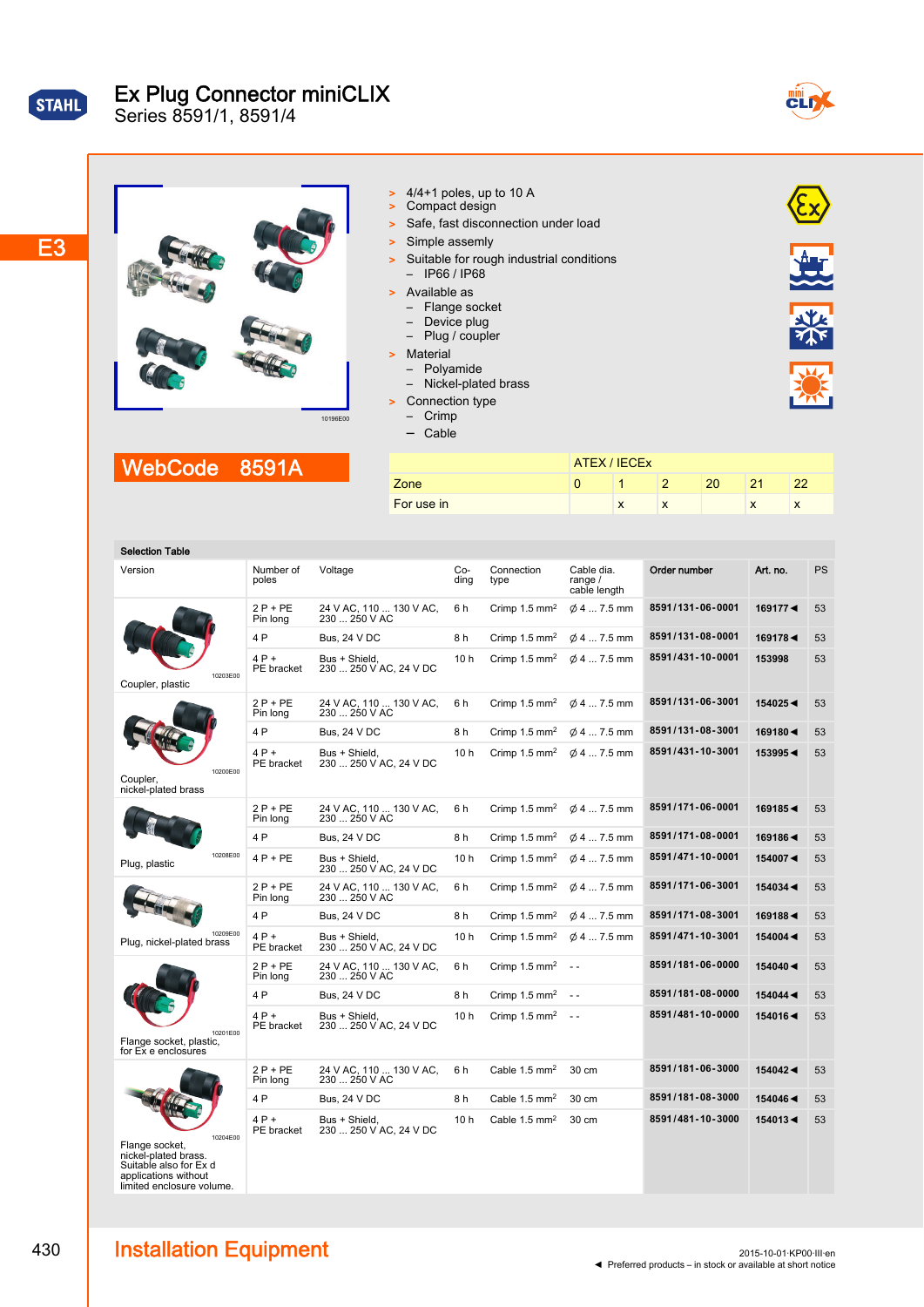| STAHI |  |
|-------|--|
|       |  |
|       |  |

# Ex Plug Connector miniCLIX

Series 8591/1, 8591/4



 $\mathbf{E}$ 

### E3

| 10196E00 |  |
|----------|--|

- $\geq$  4/4+1 poles, up to 10 A
- > Compact design
- > Safe, fast disconnection under load
- > Simple assemly
- > Suitable for rough industrial conditions – IP66 / IP68
	- Available as
	- Flange socket
	- Device plug
	- Plug / coupler
- > Material
- Polyamide
- Nickel-plated brass
- Connection type
- Crimp
- Cable

## WebCode 8591A

|            | ATEX / IECEX |   |   |    |    |    |
|------------|--------------|---|---|----|----|----|
| Zone       |              |   |   | 20 | 21 | 22 |
| For use in |              | ́ | ᄉ |    | x  | ᄉ  |
|            |              |   |   |    |    |    |

| Selection Table |  |
|-----------------|--|
|                 |  |

| Order number<br>Connection<br>Art. no.<br>Version<br>Number of<br>Voltage<br>Co-<br>Cable dia.<br>poles<br>ding<br>range $/$<br>type<br>cable length<br>8591/131-06-0001<br>24 V AC, 110  130 V AC,<br>$2P + PE$<br>6h<br>Crimp 1.5 mm <sup>2</sup><br>$\phi$ 4  7.5 mm<br>169177◀<br>230  250 V AC<br>Pin long<br>8591/131-08-0001<br>4 P<br><b>Bus, 24 V DC</b><br>8h<br>Crimp 1.5 mm <sup>2</sup><br>$\phi$ 4  7.5 mm<br>169178◀<br>8591/431-10-0001<br>4 P +<br>Bus + Shield.<br>10 <sub>h</sub><br>Crimp $1.5 \text{ mm}^2$<br>$\varnothing$ 4  7.5 mm<br>153998<br>230  250 V AC, 24 V DC<br>PE bracket<br>10203E00<br>Coupler, plastic<br>8591/131-06-3001<br>$2P + PE$<br>24 V AC, 110  130 V AC,<br>6h<br>Crimp 1.5 mm <sup>2</sup><br>154025 <<br>$\varnothing$ 4  7.5 mm<br>230  250 V AC<br>Pin long<br>8591/131-08-3001<br>4 P<br><b>Bus, 24 V DC</b><br>8h<br>169180<<br>Crimp $1.5 \text{ mm}^2$<br>$\varnothing$ 4  7.5 mm<br>8591/431-10-3001<br>$4P+$<br>Bus + Shield,<br>10h<br>153995◀<br>Crimp $1.5 \text{ mm}^2$<br>$\varnothing$ 4  7.5 mm<br>PE bracket<br>230  250 V AC, 24 V DC<br>10200E00<br>Coupler,<br>nickel-plated brass<br>8591/171-06-0001<br>$2P + PE$<br>169185◀<br>24 V AC, 110  130 V AC,<br>6h<br>Crimp $1.5 \text{ mm}^2$<br>$\varnothing$ 4  7.5 mm<br>230  250 V AC<br>Pin long<br>8591/171-08-0001<br>4 P<br><b>Bus, 24 V DC</b><br>8 h<br>Crimp $1.5 \text{ mm}^2$<br>$\varnothing$ 4  7.5 mm<br>169186◀<br>10208E00<br>8591/471-10-0001<br>$4P + PE$<br>Bus + Shield,<br>10 h<br>Crimp $1.5 \text{ mm}^2$<br>$\phi$ 4  7.5 mm<br>154007◀<br>Plug, plastic<br>230  250 V AC, 24 V DC<br>8591/171-06-3001<br>$2P + PE$<br>24 V AC, 110  130 V AC,<br>$\emptyset$ 4  7.5 mm<br>154034 <<br>6 h<br>Crimp $1.5 \text{ mm}^2$<br>230  250 V AC<br>Pin long<br>8591/171-08-3001<br>4 P<br><b>Bus, 24 V DC</b><br>8h<br>Crimp 1.5 mm <sup>2</sup><br>$\phi$ 4  7.5 mm<br>1691884<br>10209E00<br>$4P+$<br>8591/471-10-3001<br>Bus + Shield.<br>10 h<br>Crimp 1.5 mm <sup>2</sup><br>$\phi$ 4  7.5 mm<br>154004 <<br>Plug, nickel-plated brass<br>PE bracket<br>230  250 V AC, 24 V DC<br>8591/181-06-0000<br>$2P + PE$<br>24 V AC, 110  130 V AC,<br>6h<br>Crimp $1.5$ mm <sup>2</sup><br>154040 <<br>$\sim$ $\sim$<br>230  250 V AC<br>Pin long<br>8591/181-08-0000<br>4 P<br>Crimp 1.5 mm <sup>2</sup><br><b>Bus, 24 V DC</b><br>8h<br>154044<br>$\sim$ $\sim$<br>8591/481-10-0000<br>$4P+$<br>10 h<br>Bus + Shield.<br>Crimp $1.5 \text{ mm}^2$<br>154016◀<br>$\sim$ $\sim$<br>230  250 V AC, 24 V DC<br>PE bracket<br>10201E00<br>Flange socket, plastic,<br>for Ex e enclosures<br>8591/181-06-3000<br>$2P + PE$<br>24 V AC, 110  130 V AC,<br>6h<br>Cable 1.5 mm <sup>2</sup><br>30 cm<br>154042◀<br>Pin long<br>230  250 V AC |           |
|--------------------------------------------------------------------------------------------------------------------------------------------------------------------------------------------------------------------------------------------------------------------------------------------------------------------------------------------------------------------------------------------------------------------------------------------------------------------------------------------------------------------------------------------------------------------------------------------------------------------------------------------------------------------------------------------------------------------------------------------------------------------------------------------------------------------------------------------------------------------------------------------------------------------------------------------------------------------------------------------------------------------------------------------------------------------------------------------------------------------------------------------------------------------------------------------------------------------------------------------------------------------------------------------------------------------------------------------------------------------------------------------------------------------------------------------------------------------------------------------------------------------------------------------------------------------------------------------------------------------------------------------------------------------------------------------------------------------------------------------------------------------------------------------------------------------------------------------------------------------------------------------------------------------------------------------------------------------------------------------------------------------------------------------------------------------------------------------------------------------------------------------------------------------------------------------------------------------------------------------------------------------------------------------------------------------------------------------------------------------------------------------------------------------------------------------------------------------------------------------------------------------------------------------------------------------------------------------------------------------------------------------------------------------------------------------------------------------------------------------------------------------------|-----------|
|                                                                                                                                                                                                                                                                                                                                                                                                                                                                                                                                                                                                                                                                                                                                                                                                                                                                                                                                                                                                                                                                                                                                                                                                                                                                                                                                                                                                                                                                                                                                                                                                                                                                                                                                                                                                                                                                                                                                                                                                                                                                                                                                                                                                                                                                                                                                                                                                                                                                                                                                                                                                                                                                                                                                                                          | <b>PS</b> |
|                                                                                                                                                                                                                                                                                                                                                                                                                                                                                                                                                                                                                                                                                                                                                                                                                                                                                                                                                                                                                                                                                                                                                                                                                                                                                                                                                                                                                                                                                                                                                                                                                                                                                                                                                                                                                                                                                                                                                                                                                                                                                                                                                                                                                                                                                                                                                                                                                                                                                                                                                                                                                                                                                                                                                                          | 53        |
|                                                                                                                                                                                                                                                                                                                                                                                                                                                                                                                                                                                                                                                                                                                                                                                                                                                                                                                                                                                                                                                                                                                                                                                                                                                                                                                                                                                                                                                                                                                                                                                                                                                                                                                                                                                                                                                                                                                                                                                                                                                                                                                                                                                                                                                                                                                                                                                                                                                                                                                                                                                                                                                                                                                                                                          | 53        |
|                                                                                                                                                                                                                                                                                                                                                                                                                                                                                                                                                                                                                                                                                                                                                                                                                                                                                                                                                                                                                                                                                                                                                                                                                                                                                                                                                                                                                                                                                                                                                                                                                                                                                                                                                                                                                                                                                                                                                                                                                                                                                                                                                                                                                                                                                                                                                                                                                                                                                                                                                                                                                                                                                                                                                                          | 53        |
|                                                                                                                                                                                                                                                                                                                                                                                                                                                                                                                                                                                                                                                                                                                                                                                                                                                                                                                                                                                                                                                                                                                                                                                                                                                                                                                                                                                                                                                                                                                                                                                                                                                                                                                                                                                                                                                                                                                                                                                                                                                                                                                                                                                                                                                                                                                                                                                                                                                                                                                                                                                                                                                                                                                                                                          | 53        |
|                                                                                                                                                                                                                                                                                                                                                                                                                                                                                                                                                                                                                                                                                                                                                                                                                                                                                                                                                                                                                                                                                                                                                                                                                                                                                                                                                                                                                                                                                                                                                                                                                                                                                                                                                                                                                                                                                                                                                                                                                                                                                                                                                                                                                                                                                                                                                                                                                                                                                                                                                                                                                                                                                                                                                                          | 53        |
|                                                                                                                                                                                                                                                                                                                                                                                                                                                                                                                                                                                                                                                                                                                                                                                                                                                                                                                                                                                                                                                                                                                                                                                                                                                                                                                                                                                                                                                                                                                                                                                                                                                                                                                                                                                                                                                                                                                                                                                                                                                                                                                                                                                                                                                                                                                                                                                                                                                                                                                                                                                                                                                                                                                                                                          | 53        |
|                                                                                                                                                                                                                                                                                                                                                                                                                                                                                                                                                                                                                                                                                                                                                                                                                                                                                                                                                                                                                                                                                                                                                                                                                                                                                                                                                                                                                                                                                                                                                                                                                                                                                                                                                                                                                                                                                                                                                                                                                                                                                                                                                                                                                                                                                                                                                                                                                                                                                                                                                                                                                                                                                                                                                                          | 53        |
|                                                                                                                                                                                                                                                                                                                                                                                                                                                                                                                                                                                                                                                                                                                                                                                                                                                                                                                                                                                                                                                                                                                                                                                                                                                                                                                                                                                                                                                                                                                                                                                                                                                                                                                                                                                                                                                                                                                                                                                                                                                                                                                                                                                                                                                                                                                                                                                                                                                                                                                                                                                                                                                                                                                                                                          | 53        |
|                                                                                                                                                                                                                                                                                                                                                                                                                                                                                                                                                                                                                                                                                                                                                                                                                                                                                                                                                                                                                                                                                                                                                                                                                                                                                                                                                                                                                                                                                                                                                                                                                                                                                                                                                                                                                                                                                                                                                                                                                                                                                                                                                                                                                                                                                                                                                                                                                                                                                                                                                                                                                                                                                                                                                                          | 53        |
|                                                                                                                                                                                                                                                                                                                                                                                                                                                                                                                                                                                                                                                                                                                                                                                                                                                                                                                                                                                                                                                                                                                                                                                                                                                                                                                                                                                                                                                                                                                                                                                                                                                                                                                                                                                                                                                                                                                                                                                                                                                                                                                                                                                                                                                                                                                                                                                                                                                                                                                                                                                                                                                                                                                                                                          | 53        |
|                                                                                                                                                                                                                                                                                                                                                                                                                                                                                                                                                                                                                                                                                                                                                                                                                                                                                                                                                                                                                                                                                                                                                                                                                                                                                                                                                                                                                                                                                                                                                                                                                                                                                                                                                                                                                                                                                                                                                                                                                                                                                                                                                                                                                                                                                                                                                                                                                                                                                                                                                                                                                                                                                                                                                                          | 53        |
|                                                                                                                                                                                                                                                                                                                                                                                                                                                                                                                                                                                                                                                                                                                                                                                                                                                                                                                                                                                                                                                                                                                                                                                                                                                                                                                                                                                                                                                                                                                                                                                                                                                                                                                                                                                                                                                                                                                                                                                                                                                                                                                                                                                                                                                                                                                                                                                                                                                                                                                                                                                                                                                                                                                                                                          | 53        |
|                                                                                                                                                                                                                                                                                                                                                                                                                                                                                                                                                                                                                                                                                                                                                                                                                                                                                                                                                                                                                                                                                                                                                                                                                                                                                                                                                                                                                                                                                                                                                                                                                                                                                                                                                                                                                                                                                                                                                                                                                                                                                                                                                                                                                                                                                                                                                                                                                                                                                                                                                                                                                                                                                                                                                                          | 53        |
|                                                                                                                                                                                                                                                                                                                                                                                                                                                                                                                                                                                                                                                                                                                                                                                                                                                                                                                                                                                                                                                                                                                                                                                                                                                                                                                                                                                                                                                                                                                                                                                                                                                                                                                                                                                                                                                                                                                                                                                                                                                                                                                                                                                                                                                                                                                                                                                                                                                                                                                                                                                                                                                                                                                                                                          | 53        |
|                                                                                                                                                                                                                                                                                                                                                                                                                                                                                                                                                                                                                                                                                                                                                                                                                                                                                                                                                                                                                                                                                                                                                                                                                                                                                                                                                                                                                                                                                                                                                                                                                                                                                                                                                                                                                                                                                                                                                                                                                                                                                                                                                                                                                                                                                                                                                                                                                                                                                                                                                                                                                                                                                                                                                                          | 53        |
|                                                                                                                                                                                                                                                                                                                                                                                                                                                                                                                                                                                                                                                                                                                                                                                                                                                                                                                                                                                                                                                                                                                                                                                                                                                                                                                                                                                                                                                                                                                                                                                                                                                                                                                                                                                                                                                                                                                                                                                                                                                                                                                                                                                                                                                                                                                                                                                                                                                                                                                                                                                                                                                                                                                                                                          | 53        |
| 8591/181-08-3000<br>4 P<br>Bus, 24 V DC<br>8h<br>Cable 1.5 mm <sup>2</sup><br>30 cm<br>154046<                                                                                                                                                                                                                                                                                                                                                                                                                                                                                                                                                                                                                                                                                                                                                                                                                                                                                                                                                                                                                                                                                                                                                                                                                                                                                                                                                                                                                                                                                                                                                                                                                                                                                                                                                                                                                                                                                                                                                                                                                                                                                                                                                                                                                                                                                                                                                                                                                                                                                                                                                                                                                                                                           | 53        |
| 8591/481-10-3000<br>4 P +<br>Bus + Shield,<br>10 <sub>h</sub><br>Cable 1.5 mm <sup>2</sup><br>30 cm<br>154013◀<br>230  250 V AC, 24 V DC<br>PE bracket<br>10204E00<br>Flange socket,<br>nickel-plated brass.<br>Suitable also for Ex d<br>applications without<br>limited enclosure volume.                                                                                                                                                                                                                                                                                                                                                                                                                                                                                                                                                                                                                                                                                                                                                                                                                                                                                                                                                                                                                                                                                                                                                                                                                                                                                                                                                                                                                                                                                                                                                                                                                                                                                                                                                                                                                                                                                                                                                                                                                                                                                                                                                                                                                                                                                                                                                                                                                                                                              | 53        |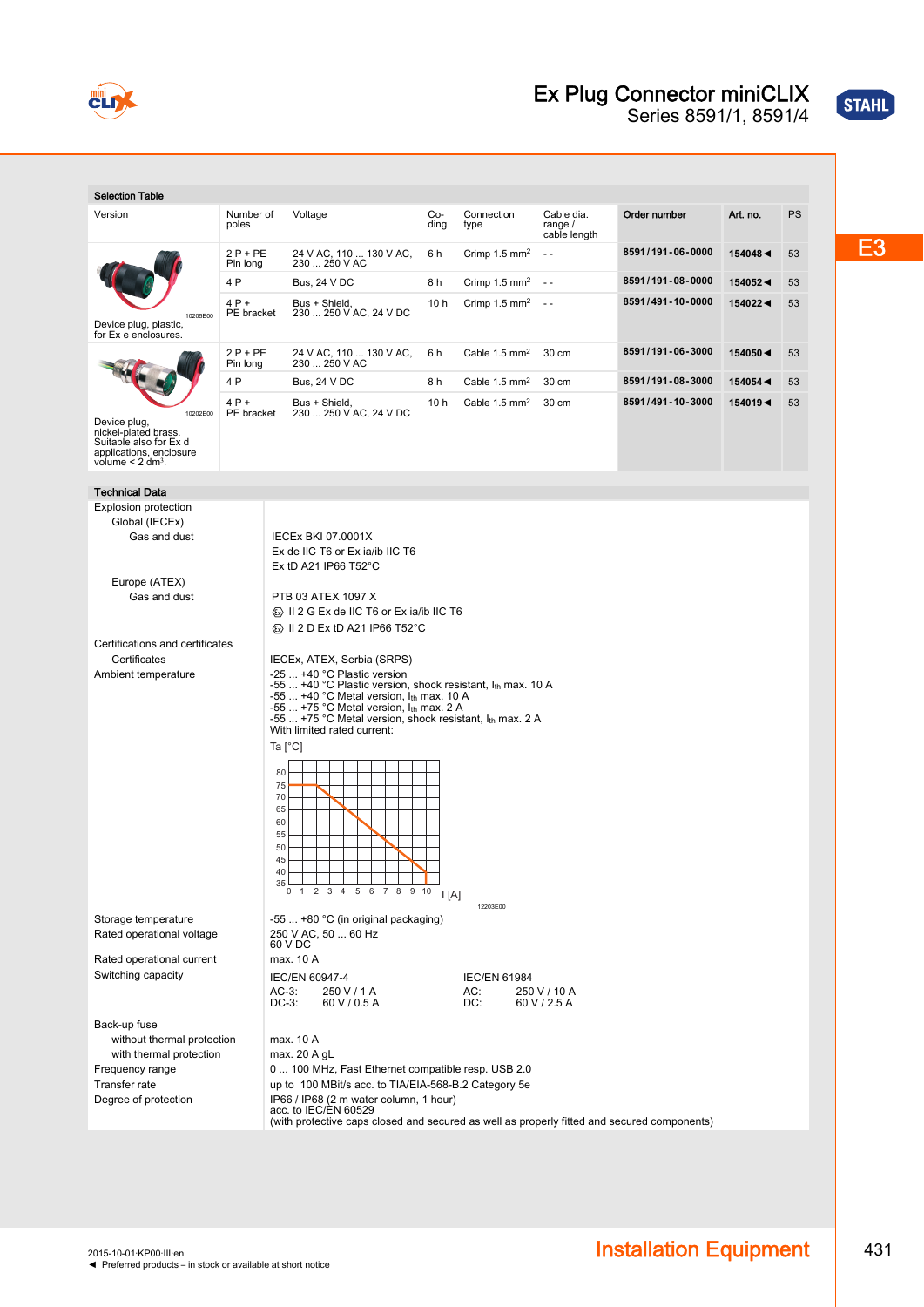

### Ex Plug Connector miniCLIX

Series 8591/1, 8591/4

| <b>Selection Table</b>                                                                                                                                                                                                                                                                                                                                                                                                                        |                       |                                                                                                                                                                                                                                                                                                                                                                                                                                                                                                                                                                                                                                                                                                  |                 |                             |                                         |                  |            |    |
|-----------------------------------------------------------------------------------------------------------------------------------------------------------------------------------------------------------------------------------------------------------------------------------------------------------------------------------------------------------------------------------------------------------------------------------------------|-----------------------|--------------------------------------------------------------------------------------------------------------------------------------------------------------------------------------------------------------------------------------------------------------------------------------------------------------------------------------------------------------------------------------------------------------------------------------------------------------------------------------------------------------------------------------------------------------------------------------------------------------------------------------------------------------------------------------------------|-----------------|-----------------------------|-----------------------------------------|------------------|------------|----|
| Version                                                                                                                                                                                                                                                                                                                                                                                                                                       | Number of<br>poles    | Voltage                                                                                                                                                                                                                                                                                                                                                                                                                                                                                                                                                                                                                                                                                          | Co-<br>ding     | Connection<br>type          | Cable dia.<br>range $/$<br>cable length | Order number     | Art. no.   | PS |
|                                                                                                                                                                                                                                                                                                                                                                                                                                               | $2P + PE$<br>Pin long | 24 V AC, 110  130 V AC,<br>230  250 V AC                                                                                                                                                                                                                                                                                                                                                                                                                                                                                                                                                                                                                                                         | 6 h             | Crimp $1.5$ mm <sup>2</sup> | $\sim$ $\sim$                           | 8591/191-06-0000 | 154048 ◀   | 53 |
|                                                                                                                                                                                                                                                                                                                                                                                                                                               | 4 P                   | <b>Bus, 24 V DC</b>                                                                                                                                                                                                                                                                                                                                                                                                                                                                                                                                                                                                                                                                              | 8 h             | Crimp $1.5$ mm <sup>2</sup> | $\sim$ $\sim$                           | 8591/191-08-0000 | 154052 <   | 53 |
| 10205E00<br>Device plug, plastic,<br>for Ex e enclosures.                                                                                                                                                                                                                                                                                                                                                                                     | $4P+$<br>PE bracket   | Bus + Shield,<br>230  250 V AC, 24 V DC                                                                                                                                                                                                                                                                                                                                                                                                                                                                                                                                                                                                                                                          | 10 h            | Crimp $1.5$ mm <sup>2</sup> | $\sim$ $\sim$                           | 8591/491-10-0000 | 154022 <   | 53 |
|                                                                                                                                                                                                                                                                                                                                                                                                                                               | $2P + PE$             | 24 V AC, 110  130 V AC,                                                                                                                                                                                                                                                                                                                                                                                                                                                                                                                                                                                                                                                                          | 6 h             | Cable 1.5 mm <sup>2</sup>   | 30 cm                                   | 8591/191-06-3000 | $154050 -$ | 53 |
|                                                                                                                                                                                                                                                                                                                                                                                                                                               | Pin long<br>4 P       | 230  250 V AC<br><b>Bus, 24 V DC</b>                                                                                                                                                                                                                                                                                                                                                                                                                                                                                                                                                                                                                                                             | 8h              | Cable $1.5 \text{ mm}^2$    | 30 cm                                   | 8591/191-08-3000 | 154054     | 53 |
|                                                                                                                                                                                                                                                                                                                                                                                                                                               | $4P+$                 | Bus + Shield.                                                                                                                                                                                                                                                                                                                                                                                                                                                                                                                                                                                                                                                                                    | 10 <sub>h</sub> | Cable $1.5 \text{ mm}^2$    | 30 cm                                   | 8591/491-10-3000 | 154019◀    | 53 |
| 10202E00<br>Device plug,<br>nickel-plated brass.<br>Suitable also for Ex d<br>applications, enclosure<br>volume $< 2$ dm <sup>3</sup> .                                                                                                                                                                                                                                                                                                       | PE bracket            | 230  250 V AC, 24 V DC                                                                                                                                                                                                                                                                                                                                                                                                                                                                                                                                                                                                                                                                           |                 |                             |                                         |                  |            |    |
| <b>Technical Data</b>                                                                                                                                                                                                                                                                                                                                                                                                                         |                       |                                                                                                                                                                                                                                                                                                                                                                                                                                                                                                                                                                                                                                                                                                  |                 |                             |                                         |                  |            |    |
| Explosion protection<br>Global (IECEx)<br>Gas and dust<br>Europe (ATEX)<br>Gas and dust<br>Certifications and certificates<br>Certificates<br>Ambient temperature                                                                                                                                                                                                                                                                             |                       | <b>IECEx BKI 07.0001X</b><br>Ex de IIC T6 or Ex ia/ib IIC T6<br>Ex tD A21 IP66 $T52^{\circ}$ C<br>PTB 03 ATEX 1097 X<br>Ex II 2 G Ex de IIC T6 or Ex ia/ib IIC T6<br><b>&amp; II 2 D Ex tD A21 IP66 T52 °C</b><br>IECEx, ATEX, Serbia (SRPS)<br>-25  +40 °C Plastic version<br>-55  +40 °C Plastic version, shock resistant, $I_{th}$ max. 10 A<br>-55  +40 °C Metal version, $I_{th}$ max. 10 A<br>-55  +75 °C Metal version, $I_{th}$ max. 2 A<br>-55  +75 °C Metal version, shock resistant, I <sub>th</sub> max. 2 A<br>With limited rated current:<br>Ta [°C]<br>80<br>75<br>70<br>65<br>60<br>55<br>50<br>45<br>40<br>35<br>0 1 2 3 4 5 6 7 8 9 10<br>$\mathsf{I}[\mathsf{A}]$<br>12203E00 |                 |                             |                                         |                  |            |    |
| Storage temperature<br>$-55+80$ °C (in original packaging)<br>Rated operational voltage<br>250 V AC, 50  60 Hz<br>60 V DC                                                                                                                                                                                                                                                                                                                     |                       |                                                                                                                                                                                                                                                                                                                                                                                                                                                                                                                                                                                                                                                                                                  |                 |                             |                                         |                  |            |    |
| Rated operational current                                                                                                                                                                                                                                                                                                                                                                                                                     | max. 10 A             |                                                                                                                                                                                                                                                                                                                                                                                                                                                                                                                                                                                                                                                                                                  |                 |                             |                                         |                  |            |    |
| Switching capacity                                                                                                                                                                                                                                                                                                                                                                                                                            |                       | IEC/EN 60947-4<br><b>IEC/EN 61984</b><br>$AC-3$ :<br>250 V / 1 A<br>AC:<br>250 V / 10 A<br>60 V / 2.5 A<br>DC-3:<br>60 V / 0.5 A<br>DC:                                                                                                                                                                                                                                                                                                                                                                                                                                                                                                                                                          |                 |                             |                                         |                  |            |    |
| Back-up fuse<br>without thermal protection<br>max. 10 A<br>max. 20 A gL<br>with thermal protection<br>Frequency range<br>0  100 MHz, Fast Ethernet compatible resp. USB 2.0<br>Transfer rate<br>up to 100 MBit/s acc. to TIA/EIA-568-B.2 Category 5e<br>Degree of protection<br>IP66 / IP68 (2 m water column, 1 hour)<br>acc. to IEC/EN 60529<br>(with protective caps closed and secured as well as properly fitted and secured components) |                       |                                                                                                                                                                                                                                                                                                                                                                                                                                                                                                                                                                                                                                                                                                  |                 |                             |                                         |                  |            |    |



STAHL